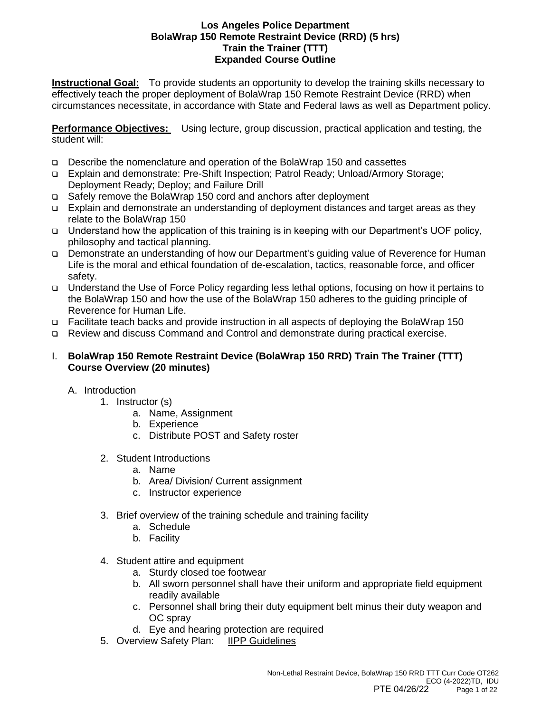**Instructional Goal:** To provide students an opportunity to develop the training skills necessary to effectively teach the proper deployment of BolaWrap 150 Remote Restraint Device (RRD) when circumstances necessitate, in accordance with State and Federal laws as well as Department policy.

**Performance Objectives:** Using lecture, group discussion, practical application and testing, the student will:

- ❑ Describe the nomenclature and operation of the BolaWrap 150 and cassettes
- ❑ Explain and demonstrate: Pre-Shift Inspection; Patrol Ready; Unload/Armory Storage; Deployment Ready; Deploy; and Failure Drill
- ❑ Safely remove the BolaWrap 150 cord and anchors after deployment
- ❑ Explain and demonstrate an understanding of deployment distances and target areas as they relate to the BolaWrap 150
- ❑ Understand how the application of this training is in keeping with our Department's UOF policy, philosophy and tactical planning.
- ❑ Demonstrate an understanding of how our Department's guiding value of Reverence for Human Life is the moral and ethical foundation of de-escalation, tactics, reasonable force, and officer safety.
- ❑ Understand the Use of Force Policy regarding less lethal options, focusing on how it pertains to the BolaWrap 150 and how the use of the BolaWrap 150 adheres to the guiding principle of Reverence for Human Life.
- ❑ Facilitate teach backs and provide instruction in all aspects of deploying the BolaWrap 150
- ❑ Review and discuss Command and Control and demonstrate during practical exercise.

### I. **BolaWrap 150 Remote Restraint Device (BolaWrap 150 RRD) Train The Trainer (TTT) Course Overview (20 minutes)**

- A. Introduction
	- 1. Instructor (s)
		- a. Name, Assignment
		- b. Experience
		- c. Distribute POST and Safety roster
	- 2. Student Introductions
		- a. Name
		- b. Area/ Division/ Current assignment
		- c. Instructor experience
	- 3. Brief overview of the training schedule and training facility
		- a. Schedule
		- b. Facility
	- 4. Student attire and equipment
		- a. Sturdy closed toe footwear
		- b. All sworn personnel shall have their uniform and appropriate field equipment readily available
		- c. Personnel shall bring their duty equipment belt minus their duty weapon and OC spray
		- d. Eye and hearing protection are required
	- 5. Overview Safety Plan: IIPP Guidelines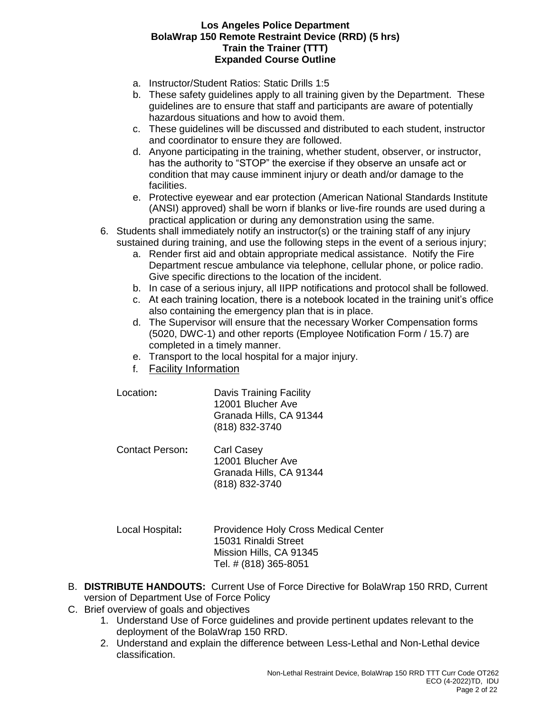- a. Instructor/Student Ratios: Static Drills 1:5
- b. These safety guidelines apply to all training given by the Department. These guidelines are to ensure that staff and participants are aware of potentially hazardous situations and how to avoid them.
- c. These guidelines will be discussed and distributed to each student, instructor and coordinator to ensure they are followed.
- d. Anyone participating in the training, whether student, observer, or instructor, has the authority to "STOP" the exercise if they observe an unsafe act or condition that may cause imminent injury or death and/or damage to the facilities.
- e. Protective eyewear and ear protection (American National Standards Institute (ANSI) approved) shall be worn if blanks or live-fire rounds are used during a practical application or during any demonstration using the same.
- 6. Students shall immediately notify an instructor(s) or the training staff of any injury sustained during training, and use the following steps in the event of a serious injury;
	- a. Render first aid and obtain appropriate medical assistance. Notify the Fire Department rescue ambulance via telephone, cellular phone, or police radio. Give specific directions to the location of the incident.
	- b. In case of a serious injury, all IIPP notifications and protocol shall be followed.
	- c. At each training location, there is a notebook located in the training unit's office also containing the emergency plan that is in place.
	- d. The Supervisor will ensure that the necessary Worker Compensation forms (5020, DWC-1) and other reports (Employee Notification Form / 15.7) are completed in a timely manner.
	- e. Transport to the local hospital for a major injury.
	- f. Facility Information
	- Location**:** Davis Training Facility 12001 Blucher Ave Granada Hills, CA 91344 (818) 832-3740
	- Contact Person**:** Carl Casey 12001 Blucher Ave Granada Hills, CA 91344 (818) 832-3740
	- Local Hospital**:** Providence Holy Cross Medical Center 15031 Rinaldi Street Mission Hills, CA 91345 Tel. # (818) 365-8051
- B. **DISTRIBUTE HANDOUTS:** Current Use of Force Directive for BolaWrap 150 RRD, Current version of Department Use of Force Policy
- C. Brief overview of goals and objectives
	- 1. Understand Use of Force guidelines and provide pertinent updates relevant to the deployment of the BolaWrap 150 RRD.
	- 2. Understand and explain the difference between Less-Lethal and Non-Lethal device classification.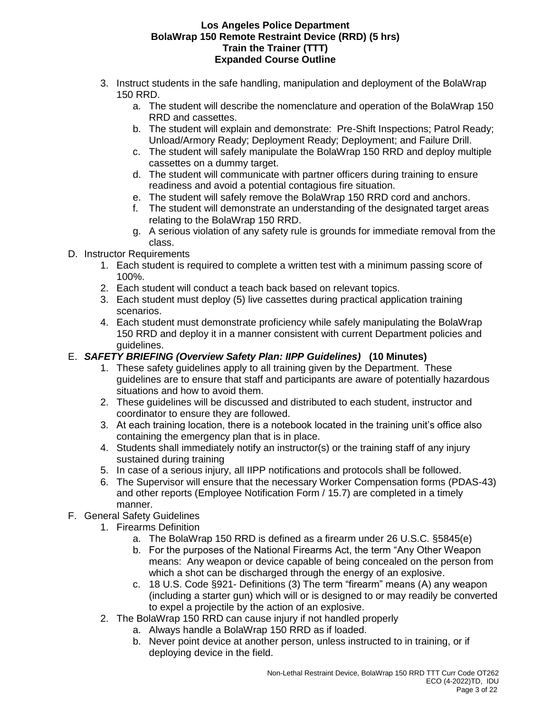- 3. Instruct students in the safe handling, manipulation and deployment of the BolaWrap 150 RRD.
	- a. The student will describe the nomenclature and operation of the BolaWrap 150 RRD and cassettes.
	- b. The student will explain and demonstrate: Pre-Shift Inspections; Patrol Ready; Unload/Armory Ready; Deployment Ready; Deployment; and Failure Drill.
	- c. The student will safely manipulate the BolaWrap 150 RRD and deploy multiple cassettes on a dummy target.
	- d. The student will communicate with partner officers during training to ensure readiness and avoid a potential contagious fire situation.
	- e. The student will safely remove the BolaWrap 150 RRD cord and anchors.
	- f. The student will demonstrate an understanding of the designated target areas relating to the BolaWrap 150 RRD.
	- g. A serious violation of any safety rule is grounds for immediate removal from the class.
- D. Instructor Requirements
	- 1. Each student is required to complete a written test with a minimum passing score of 100%.
	- 2. Each student will conduct a teach back based on relevant topics.
	- 3. Each student must deploy (5) live cassettes during practical application training scenarios.
	- 4. Each student must demonstrate proficiency while safely manipulating the BolaWrap 150 RRD and deploy it in a manner consistent with current Department policies and guidelines.
- E. *SAFETY BRIEFING (Overview Safety Plan: IIPP Guidelines)* **(10 Minutes)**
	- 1. These safety guidelines apply to all training given by the Department. These guidelines are to ensure that staff and participants are aware of potentially hazardous situations and how to avoid them.
	- 2. These guidelines will be discussed and distributed to each student, instructor and coordinator to ensure they are followed.
	- 3. At each training location, there is a notebook located in the training unit's office also containing the emergency plan that is in place.
	- 4. Students shall immediately notify an instructor(s) or the training staff of any injury sustained during training
	- 5. In case of a serious injury, all IIPP notifications and protocols shall be followed.
	- 6. The Supervisor will ensure that the necessary Worker Compensation forms (PDAS-43) and other reports (Employee Notification Form / 15.7) are completed in a timely manner.
- F. General Safety Guidelines
	- 1. Firearms Definition
		- a. The BolaWrap 150 RRD is defined as a firearm under 26 U.S.C. §5845(e)
		- b. For the purposes of the National Firearms Act, the term "Any Other Weapon means: Any weapon or device capable of being concealed on the person from which a shot can be discharged through the energy of an explosive.
		- c. 18 U.S. Code §921- Definitions (3) The term "firearm" means (A) any weapon (including a starter gun) which will or is designed to or may readily be converted to expel a projectile by the action of an explosive.
	- 2. The BolaWrap 150 RRD can cause injury if not handled properly
		- a. Always handle a BolaWrap 150 RRD as if loaded.
		- b. Never point device at another person, unless instructed to in training, or if deploying device in the field.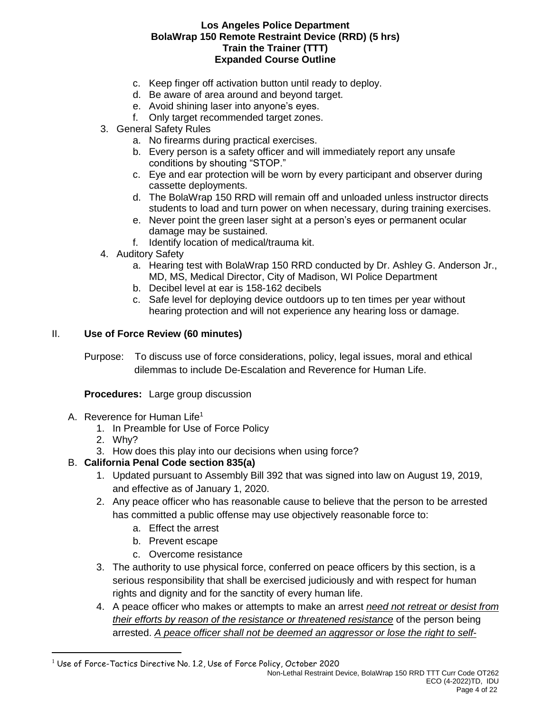- c. Keep finger off activation button until ready to deploy.
- d. Be aware of area around and beyond target.
- e. Avoid shining laser into anyone's eyes.
- f. Only target recommended target zones.
- 3. General Safety Rules
	- a. No firearms during practical exercises.
	- b. Every person is a safety officer and will immediately report any unsafe conditions by shouting "STOP."
	- c. Eye and ear protection will be worn by every participant and observer during cassette deployments.
	- d. The BolaWrap 150 RRD will remain off and unloaded unless instructor directs students to load and turn power on when necessary, during training exercises.
	- e. Never point the green laser sight at a person's eyes or permanent ocular damage may be sustained.
	- f. Identify location of medical/trauma kit.
- 4. Auditory Safety
	- a. Hearing test with BolaWrap 150 RRD conducted by Dr. Ashley G. Anderson Jr., MD, MS, Medical Director, City of Madison, WI Police Department
	- b. Decibel level at ear is 158-162 decibels
	- c. Safe level for deploying device outdoors up to ten times per year without hearing protection and will not experience any hearing loss or damage.

### II. **Use of Force Review (60 minutes)**

Purpose: To discuss use of force considerations, policy, legal issues, moral and ethical dilemmas to include De-Escalation and Reverence for Human Life.

**Procedures:** Large group discussion

- A. Reverence for Human Life<sup>1</sup>
	- 1. In Preamble for Use of Force Policy
	- 2. Why?

 $\overline{a}$ 

3. How does this play into our decisions when using force?

## B. **California Penal Code section 835(a)**

- 1. Updated pursuant to Assembly Bill 392 that was signed into law on August 19, 2019, and effective as of January 1, 2020.
- 2. Any peace officer who has reasonable cause to believe that the person to be arrested has committed a public offense may use objectively reasonable force to:
	- a. Effect the arrest
	- b. Prevent escape
	- c. Overcome resistance
- 3. The authority to use physical force, conferred on peace officers by this section, is a serious responsibility that shall be exercised judiciously and with respect for human rights and dignity and for the sanctity of every human life.
- 4. A peace officer who makes or attempts to make an arrest *need not retreat or desist from their efforts by reason of the resistance or threatened resistance* of the person being arrested. *A peace officer shall not be deemed an aggressor or lose the right to self-*

 $1$  Use of Force-Tactics Directive No. 1.2, Use of Force Policy, October 2020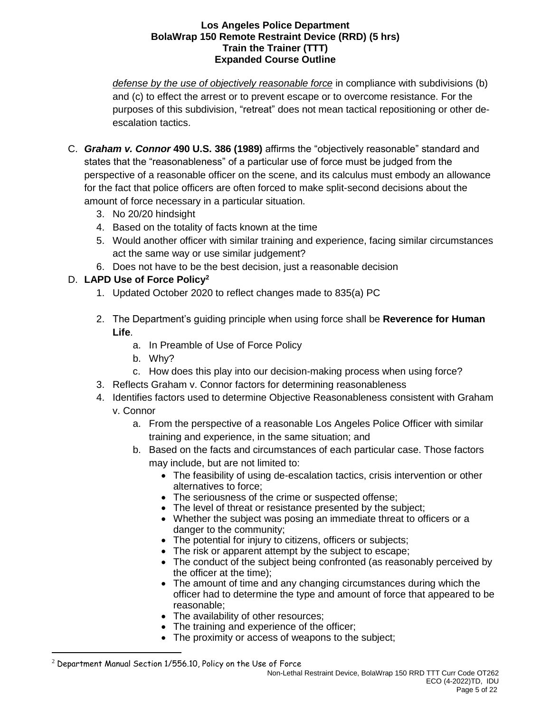*defense by the use of objectively reasonable force* in compliance with subdivisions (b) and (c) to effect the arrest or to prevent escape or to overcome resistance. For the purposes of this subdivision, "retreat" does not mean tactical repositioning or other deescalation tactics.

- C. *Graham v. Connor* **490 U.S. 386 (1989)** affirms the "objectively reasonable" standard and states that the "reasonableness" of a particular use of force must be judged from the perspective of a reasonable officer on the scene, and its calculus must embody an allowance for the fact that police officers are often forced to make split-second decisions about the amount of force necessary in a particular situation.
	- 3. No 20/20 hindsight
	- 4. Based on the totality of facts known at the time
	- 5. Would another officer with similar training and experience, facing similar circumstances act the same way or use similar judgement?
	- 6. Does not have to be the best decision, just a reasonable decision

# D. **LAPD Use of Force Policy<sup>2</sup>**

- 1. Updated October 2020 to reflect changes made to 835(a) PC
- 2. The Department's guiding principle when using force shall be **Reverence for Human Life**.
	- a. In Preamble of Use of Force Policy
	- b. Why?
	- c. How does this play into our decision-making process when using force?
- 3. Reflects Graham v. Connor factors for determining reasonableness
- 4. Identifies factors used to determine Objective Reasonableness consistent with Graham v. Connor
	- a. From the perspective of a reasonable Los Angeles Police Officer with similar training and experience, in the same situation; and
	- b. Based on the facts and circumstances of each particular case. Those factors may include, but are not limited to:
		- The feasibility of using de-escalation tactics, crisis intervention or other alternatives to force;
		- The seriousness of the crime or suspected offense;
		- The level of threat or resistance presented by the subject;
		- Whether the subject was posing an immediate threat to officers or a danger to the community;
		- The potential for injury to citizens, officers or subjects;
		- The risk or apparent attempt by the subject to escape;
		- The conduct of the subject being confronted (as reasonably perceived by the officer at the time);
		- The amount of time and any changing circumstances during which the officer had to determine the type and amount of force that appeared to be reasonable;
		- The availability of other resources;
		- The training and experience of the officer;
		- The proximity or access of weapons to the subject;

 $\overline{a}$ 

 $2$  Department Manual Section 1/556.10, Policy on the Use of Force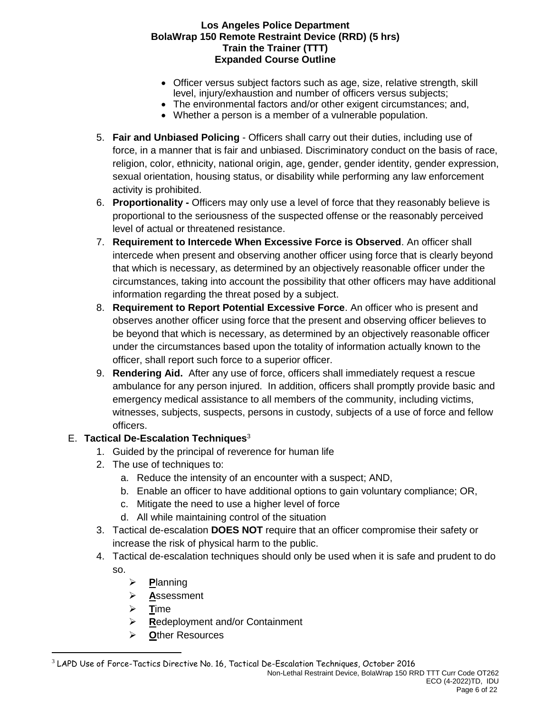- Officer versus subject factors such as age, size, relative strength, skill level, injury/exhaustion and number of officers versus subjects;
- The environmental factors and/or other exigent circumstances; and,
- Whether a person is a member of a vulnerable population.
- 5. **Fair and Unbiased Policing** Officers shall carry out their duties, including use of force, in a manner that is fair and unbiased. Discriminatory conduct on the basis of race, religion, color, ethnicity, national origin, age, gender, gender identity, gender expression, sexual orientation, housing status, or disability while performing any law enforcement activity is prohibited.
- 6. **Proportionality -** Officers may only use a level of force that they reasonably believe is proportional to the seriousness of the suspected offense or the reasonably perceived level of actual or threatened resistance.
- 7. **Requirement to Intercede When Excessive Force is Observed**. An officer shall intercede when present and observing another officer using force that is clearly beyond that which is necessary, as determined by an objectively reasonable officer under the circumstances, taking into account the possibility that other officers may have additional information regarding the threat posed by a subject.
- 8. **Requirement to Report Potential Excessive Force**. An officer who is present and observes another officer using force that the present and observing officer believes to be beyond that which is necessary, as determined by an objectively reasonable officer under the circumstances based upon the totality of information actually known to the officer, shall report such force to a superior officer.
- 9. **Rendering Aid.** After any use of force, officers shall immediately request a rescue ambulance for any person injured. In addition, officers shall promptly provide basic and emergency medical assistance to all members of the community, including victims, witnesses, subjects, suspects, persons in custody, subjects of a use of force and fellow officers.

# E. **Tactical De-Escalation Techniques**<sup>3</sup>

- 1. Guided by the principal of reverence for human life
- 2. The use of techniques to:
	- a. Reduce the intensity of an encounter with a suspect; AND,
	- b. Enable an officer to have additional options to gain voluntary compliance; OR,
	- c. Mitigate the need to use a higher level of force
	- d. All while maintaining control of the situation
- 3. Tactical de-escalation **DOES NOT** require that an officer compromise their safety or increase the risk of physical harm to the public.
- 4. Tactical de-escalation techniques should only be used when it is safe and prudent to do so.
	- ➢ **P**lanning
	- ➢ **A**ssessment
	- ➢ **T**ime

 $\overline{a}$ 

- ➢ **R**edeployment and/or Containment
- ➢ **O**ther Resources

<sup>3</sup> LAPD Use of Force-Tactics Directive No. 16, Tactical De-Escalation Techniques, October 2016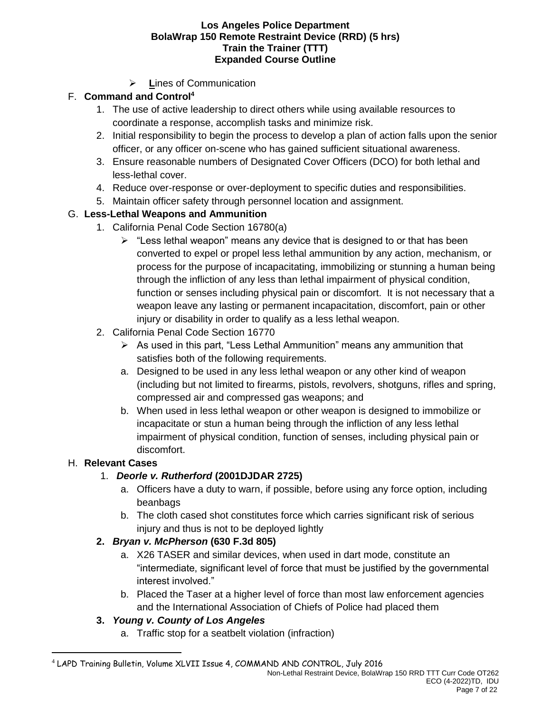➢ **L**ines of Communication

# F. **Command and Control<sup>4</sup>**

- 1. The use of active leadership to direct others while using available resources to coordinate a response, accomplish tasks and minimize risk.
- 2. Initial responsibility to begin the process to develop a plan of action falls upon the senior officer, or any officer on-scene who has gained sufficient situational awareness.
- 3. Ensure reasonable numbers of Designated Cover Officers (DCO) for both lethal and less-lethal cover.
- 4. Reduce over-response or over-deployment to specific duties and responsibilities.
- 5. Maintain officer safety through personnel location and assignment.

## G. **Less-Lethal Weapons and Ammunition**

- 1. California Penal Code Section 16780(a)
	- $\triangleright$  "Less lethal weapon" means any device that is designed to or that has been converted to expel or propel less lethal ammunition by any action, mechanism, or process for the purpose of incapacitating, immobilizing or stunning a human being through the infliction of any less than lethal impairment of physical condition, function or senses including physical pain or discomfort. It is not necessary that a weapon leave any lasting or permanent incapacitation, discomfort, pain or other injury or disability in order to qualify as a less lethal weapon.
- 2. California Penal Code Section 16770
	- $\triangleright$  As used in this part, "Less Lethal Ammunition" means any ammunition that satisfies both of the following requirements.
	- a. Designed to be used in any less lethal weapon or any other kind of weapon (including but not limited to firearms, pistols, revolvers, shotguns, rifles and spring, compressed air and compressed gas weapons; and
	- b. When used in less lethal weapon or other weapon is designed to immobilize or incapacitate or stun a human being through the infliction of any less lethal impairment of physical condition, function of senses, including physical pain or discomfort.

## H. **Relevant Cases**

 $\overline{a}$ 

## 1. *Deorle v. Rutherford* **(2001DJDAR 2725)**

- a. Officers have a duty to warn, if possible, before using any force option, including beanbags
- b. The cloth cased shot constitutes force which carries significant risk of serious injury and thus is not to be deployed lightly

## **2.** *Bryan v. McPherson* **(630 F.3d 805)**

- a. X26 TASER and similar devices, when used in dart mode, constitute an "intermediate, significant level of force that must be justified by the governmental interest involved."
- b. Placed the Taser at a higher level of force than most law enforcement agencies and the International Association of Chiefs of Police had placed them

## **3.** *Young v. County of Los Angeles*

a. Traffic stop for a seatbelt violation (infraction)

<sup>4</sup> LAPD Training Bulletin, Volume XLVII Issue 4, COMMAND AND CONTROL, July 2016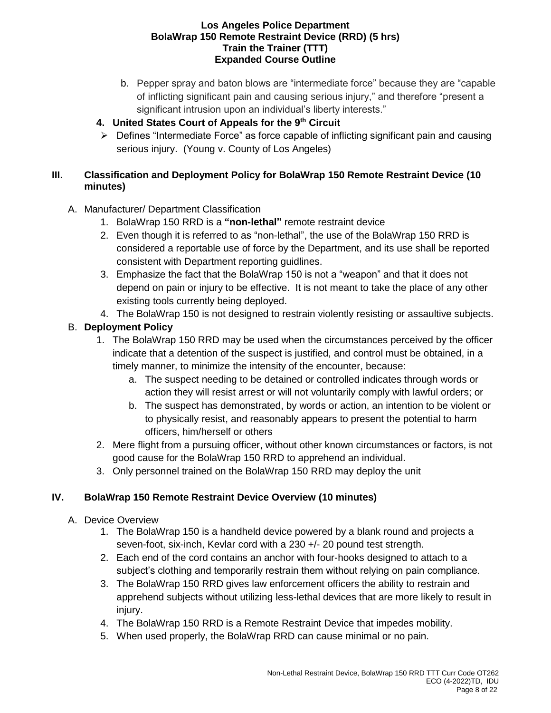b. Pepper spray and baton blows are "intermediate force" because they are "capable of inflicting significant pain and causing serious injury," and therefore "present a significant intrusion upon an individual's liberty interests."

# **4. United States Court of Appeals for the 9th Circuit**

 $\triangleright$  Defines "Intermediate Force" as force capable of inflicting significant pain and causing serious injury. (Young v. County of Los Angeles)

## **III. Classification and Deployment Policy for BolaWrap 150 Remote Restraint Device (10 minutes)**

# A. Manufacturer/ Department Classification

- 1. BolaWrap 150 RRD is a **"non-lethal"** remote restraint device
- 2. Even though it is referred to as "non-lethal", the use of the BolaWrap 150 RRD is considered a reportable use of force by the Department, and its use shall be reported consistent with Department reporting guidlines.
- 3. Emphasize the fact that the BolaWrap 150 is not a "weapon" and that it does not depend on pain or injury to be effective. It is not meant to take the place of any other existing tools currently being deployed.
- 4. The BolaWrap 150 is not designed to restrain violently resisting or assaultive subjects.

# B. **Deployment Policy**

- 1. The BolaWrap 150 RRD may be used when the circumstances perceived by the officer indicate that a detention of the suspect is justified, and control must be obtained, in a timely manner, to minimize the intensity of the encounter, because:
	- a. The suspect needing to be detained or controlled indicates through words or action they will resist arrest or will not voluntarily comply with lawful orders; or
	- b. The suspect has demonstrated, by words or action, an intention to be violent or to physically resist, and reasonably appears to present the potential to harm officers, him/herself or others
- 2. Mere flight from a pursuing officer, without other known circumstances or factors, is not good cause for the BolaWrap 150 RRD to apprehend an individual.
- 3. Only personnel trained on the BolaWrap 150 RRD may deploy the unit

# **IV. BolaWrap 150 Remote Restraint Device Overview (10 minutes)**

- A. Device Overview
	- 1. The BolaWrap 150 is a handheld device powered by a blank round and projects a seven-foot, six-inch, Kevlar cord with a 230 +/- 20 pound test strength.
	- 2. Each end of the cord contains an anchor with four-hooks designed to attach to a subject's clothing and temporarily restrain them without relying on pain compliance.
	- 3. The BolaWrap 150 RRD gives law enforcement officers the ability to restrain and apprehend subjects without utilizing less-lethal devices that are more likely to result in injury.
	- 4. The BolaWrap 150 RRD is a Remote Restraint Device that impedes mobility.
	- 5. When used properly, the BolaWrap RRD can cause minimal or no pain.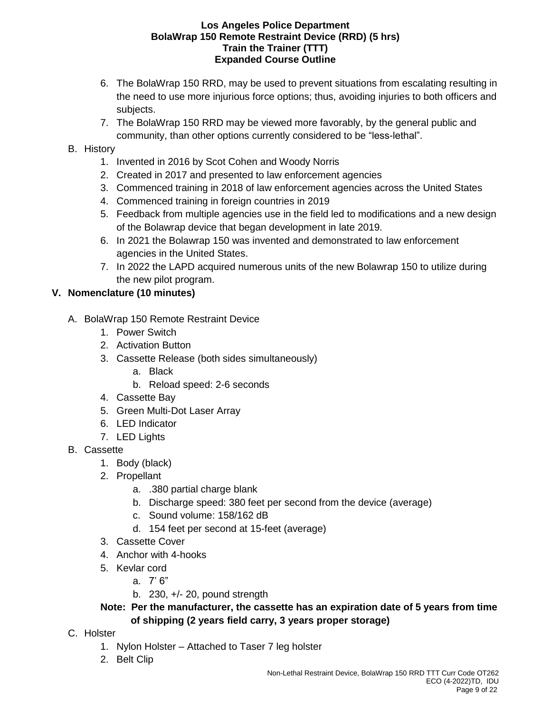- 6. The BolaWrap 150 RRD, may be used to prevent situations from escalating resulting in the need to use more injurious force options; thus, avoiding injuries to both officers and subjects.
- 7. The BolaWrap 150 RRD may be viewed more favorably, by the general public and community, than other options currently considered to be "less-lethal".

## B. History

- 1. Invented in 2016 by Scot Cohen and Woody Norris
- 2. Created in 2017 and presented to law enforcement agencies
- 3. Commenced training in 2018 of law enforcement agencies across the United States
- 4. Commenced training in foreign countries in 2019
- 5. Feedback from multiple agencies use in the field led to modifications and a new design of the Bolawrap device that began development in late 2019.
- 6. In 2021 the Bolawrap 150 was invented and demonstrated to law enforcement agencies in the United States.
- 7. In 2022 the LAPD acquired numerous units of the new Bolawrap 150 to utilize during the new pilot program.

# **V. Nomenclature (10 minutes)**

- A. BolaWrap 150 Remote Restraint Device
	- 1. Power Switch
	- 2. Activation Button
	- 3. Cassette Release (both sides simultaneously)
		- a. Black
		- b. Reload speed: 2-6 seconds
	- 4. Cassette Bay
	- 5. Green Multi-Dot Laser Array
	- 6. LED Indicator
	- 7. LED Lights
- B. Cassette
	- 1. Body (black)
	- 2. Propellant
		- a. .380 partial charge blank
		- b. Discharge speed: 380 feet per second from the device (average)
		- c. Sound volume: 158/162 dB
		- d. 154 feet per second at 15-feet (average)
	- 3. Cassette Cover
	- 4. Anchor with 4-hooks
	- 5. Kevlar cord
		- a. 7' 6"
		- b. 230, +/- 20, pound strength

**Note: Per the manufacturer, the cassette has an expiration date of 5 years from time of shipping (2 years field carry, 3 years proper storage)**

- C. Holster
	- 1. Nylon Holster Attached to Taser 7 leg holster
	- 2. Belt Clip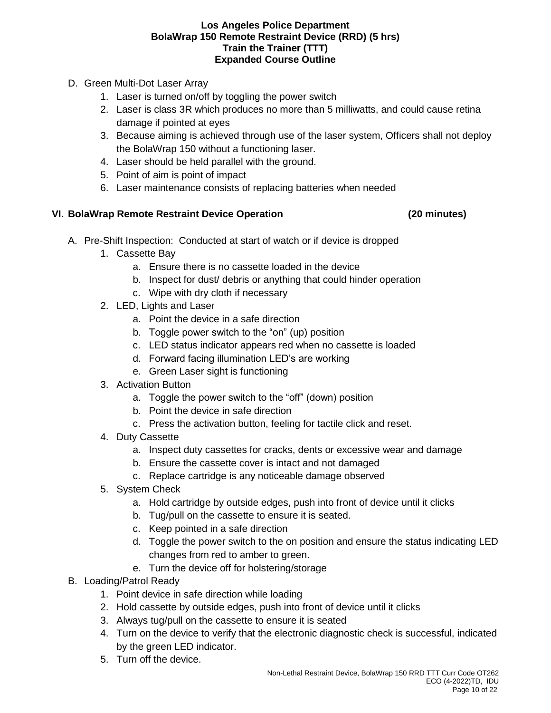- D. Green Multi-Dot Laser Array
	- 1. Laser is turned on/off by toggling the power switch
	- 2. Laser is class 3R which produces no more than 5 milliwatts, and could cause retina damage if pointed at eyes
	- 3. Because aiming is achieved through use of the laser system, Officers shall not deploy the BolaWrap 150 without a functioning laser.
	- 4. Laser should be held parallel with the ground.
	- 5. Point of aim is point of impact
	- 6. Laser maintenance consists of replacing batteries when needed

## **VI. BolaWrap Remote Restraint Device Operation (20 minutes)**

- A. Pre-Shift Inspection: Conducted at start of watch or if device is dropped
	- 1. Cassette Bay
		- a. Ensure there is no cassette loaded in the device
		- b. Inspect for dust/ debris or anything that could hinder operation
		- c. Wipe with dry cloth if necessary
	- 2. LED, Lights and Laser
		- a. Point the device in a safe direction
		- b. Toggle power switch to the "on" (up) position
		- c. LED status indicator appears red when no cassette is loaded
		- d. Forward facing illumination LED's are working
		- e. Green Laser sight is functioning
	- 3. Activation Button
		- a. Toggle the power switch to the "off" (down) position
		- b. Point the device in safe direction
		- c. Press the activation button, feeling for tactile click and reset.
	- 4. Duty Cassette
		- a. Inspect duty cassettes for cracks, dents or excessive wear and damage
		- b. Ensure the cassette cover is intact and not damaged
		- c. Replace cartridge is any noticeable damage observed
	- 5. System Check
		- a. Hold cartridge by outside edges, push into front of device until it clicks
		- b. Tug/pull on the cassette to ensure it is seated.
		- c. Keep pointed in a safe direction
		- d. Toggle the power switch to the on position and ensure the status indicating LED changes from red to amber to green.
		- e. Turn the device off for holstering/storage
- B. Loading/Patrol Ready
	- 1. Point device in safe direction while loading
	- 2. Hold cassette by outside edges, push into front of device until it clicks
	- 3. Always tug/pull on the cassette to ensure it is seated
	- 4. Turn on the device to verify that the electronic diagnostic check is successful, indicated by the green LED indicator.
	- 5. Turn off the device.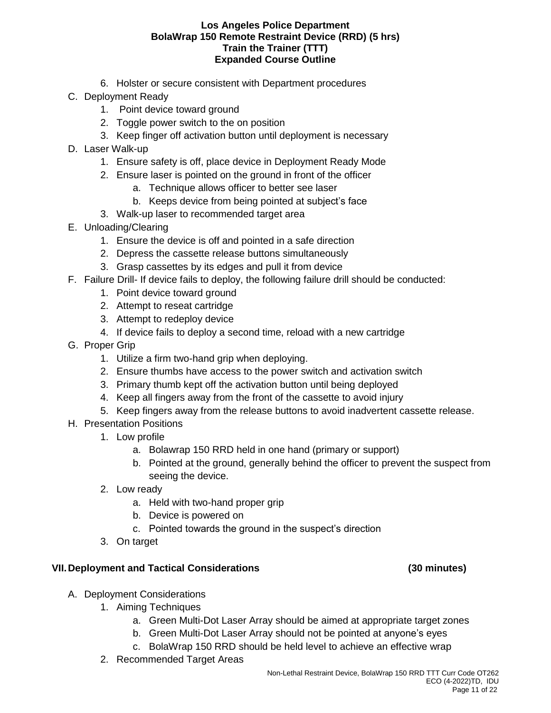- 6. Holster or secure consistent with Department procedures
- C. Deployment Ready
	- 1. Point device toward ground
	- 2. Toggle power switch to the on position
	- 3. Keep finger off activation button until deployment is necessary
- D. Laser Walk-up
	- 1. Ensure safety is off, place device in Deployment Ready Mode
	- 2. Ensure laser is pointed on the ground in front of the officer
		- a. Technique allows officer to better see laser
		- b. Keeps device from being pointed at subject's face
	- 3. Walk-up laser to recommended target area
- E. Unloading/Clearing
	- 1. Ensure the device is off and pointed in a safe direction
	- 2. Depress the cassette release buttons simultaneously
	- 3. Grasp cassettes by its edges and pull it from device
- F. Failure Drill- If device fails to deploy, the following failure drill should be conducted:
	- 1. Point device toward ground
	- 2. Attempt to reseat cartridge
	- 3. Attempt to redeploy device
	- 4. If device fails to deploy a second time, reload with a new cartridge
- G. Proper Grip
	- 1. Utilize a firm two-hand grip when deploying.
	- 2. Ensure thumbs have access to the power switch and activation switch
	- 3. Primary thumb kept off the activation button until being deployed
	- 4. Keep all fingers away from the front of the cassette to avoid injury
	- 5. Keep fingers away from the release buttons to avoid inadvertent cassette release.
- H. Presentation Positions
	- 1. Low profile
		- a. Bolawrap 150 RRD held in one hand (primary or support)
		- b. Pointed at the ground, generally behind the officer to prevent the suspect from seeing the device.
	- 2. Low ready
		- a. Held with two-hand proper grip
		- b. Device is powered on
		- c. Pointed towards the ground in the suspect's direction
	- 3. On target

### **VII.Deployment and Tactical Considerations (30 minutes)**

- A. Deployment Considerations
	- 1. Aiming Techniques
		- a. Green Multi-Dot Laser Array should be aimed at appropriate target zones
		- b. Green Multi-Dot Laser Array should not be pointed at anyone's eyes
		- c. BolaWrap 150 RRD should be held level to achieve an effective wrap
	- 2. Recommended Target Areas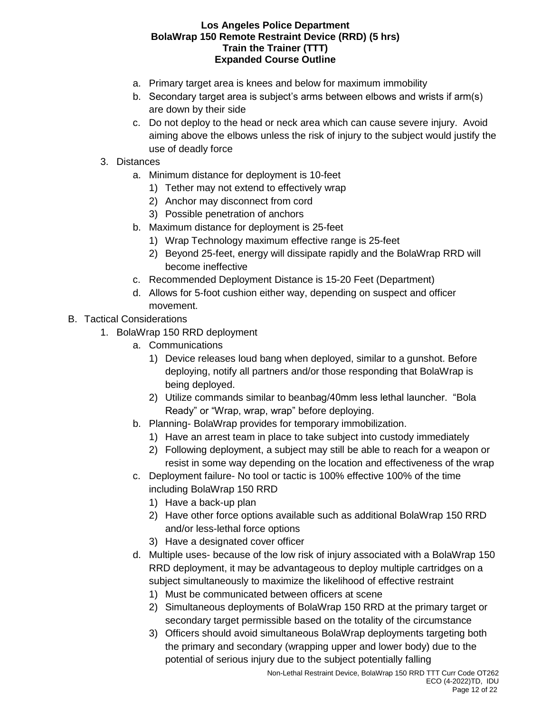- a. Primary target area is knees and below for maximum immobility
- b. Secondary target area is subject's arms between elbows and wrists if arm(s) are down by their side
- c. Do not deploy to the head or neck area which can cause severe injury. Avoid aiming above the elbows unless the risk of injury to the subject would justify the use of deadly force
- 3. Distances
	- a. Minimum distance for deployment is 10-feet
		- 1) Tether may not extend to effectively wrap
		- 2) Anchor may disconnect from cord
		- 3) Possible penetration of anchors
	- b. Maximum distance for deployment is 25-feet
		- 1) Wrap Technology maximum effective range is 25-feet
		- 2) Beyond 25-feet, energy will dissipate rapidly and the BolaWrap RRD will become ineffective
	- c. Recommended Deployment Distance is 15-20 Feet (Department)
	- d. Allows for 5-foot cushion either way, depending on suspect and officer movement.
- B. Tactical Considerations
	- 1. BolaWrap 150 RRD deployment
		- a. Communications
			- 1) Device releases loud bang when deployed, similar to a gunshot. Before deploying, notify all partners and/or those responding that BolaWrap is being deployed.
			- 2) Utilize commands similar to beanbag/40mm less lethal launcher. "Bola Ready" or "Wrap, wrap, wrap" before deploying.
		- b. Planning- BolaWrap provides for temporary immobilization.
			- 1) Have an arrest team in place to take subject into custody immediately
			- 2) Following deployment, a subject may still be able to reach for a weapon or resist in some way depending on the location and effectiveness of the wrap
		- c. Deployment failure- No tool or tactic is 100% effective 100% of the time including BolaWrap 150 RRD
			- 1) Have a back-up plan
			- 2) Have other force options available such as additional BolaWrap 150 RRD and/or less-lethal force options
			- 3) Have a designated cover officer
		- d. Multiple uses- because of the low risk of injury associated with a BolaWrap 150 RRD deployment, it may be advantageous to deploy multiple cartridges on a subject simultaneously to maximize the likelihood of effective restraint
			- 1) Must be communicated between officers at scene
			- 2) Simultaneous deployments of BolaWrap 150 RRD at the primary target or secondary target permissible based on the totality of the circumstance
			- 3) Officers should avoid simultaneous BolaWrap deployments targeting both the primary and secondary (wrapping upper and lower body) due to the potential of serious injury due to the subject potentially falling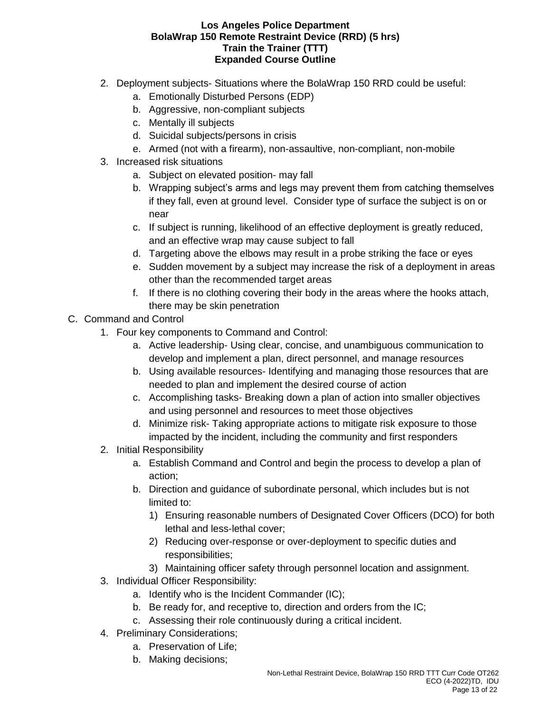- 2. Deployment subjects- Situations where the BolaWrap 150 RRD could be useful:
	- a. Emotionally Disturbed Persons (EDP)
	- b. Aggressive, non-compliant subjects
	- c. Mentally ill subjects
	- d. Suicidal subjects/persons in crisis
	- e. Armed (not with a firearm), non-assaultive, non-compliant, non-mobile
- 3. Increased risk situations
	- a. Subject on elevated position- may fall
	- b. Wrapping subject's arms and legs may prevent them from catching themselves if they fall, even at ground level. Consider type of surface the subject is on or near
	- c. If subject is running, likelihood of an effective deployment is greatly reduced, and an effective wrap may cause subject to fall
	- d. Targeting above the elbows may result in a probe striking the face or eyes
	- e. Sudden movement by a subject may increase the risk of a deployment in areas other than the recommended target areas
	- f. If there is no clothing covering their body in the areas where the hooks attach, there may be skin penetration
- C. Command and Control
	- 1. Four key components to Command and Control:
		- a. Active leadership- Using clear, concise, and unambiguous communication to develop and implement a plan, direct personnel, and manage resources
		- b. Using available resources- Identifying and managing those resources that are needed to plan and implement the desired course of action
		- c. Accomplishing tasks- Breaking down a plan of action into smaller objectives and using personnel and resources to meet those objectives
		- d. Minimize risk- Taking appropriate actions to mitigate risk exposure to those impacted by the incident, including the community and first responders
	- 2. Initial Responsibility
		- a. Establish Command and Control and begin the process to develop a plan of action;
		- b. Direction and guidance of subordinate personal, which includes but is not limited to:
			- 1) Ensuring reasonable numbers of Designated Cover Officers (DCO) for both lethal and less-lethal cover;
			- 2) Reducing over-response or over-deployment to specific duties and responsibilities;
			- 3) Maintaining officer safety through personnel location and assignment.
	- 3. Individual Officer Responsibility:
		- a. Identify who is the Incident Commander (IC);
		- b. Be ready for, and receptive to, direction and orders from the IC;
		- c. Assessing their role continuously during a critical incident.
	- 4. Preliminary Considerations;
		- a. Preservation of Life;
		- b. Making decisions;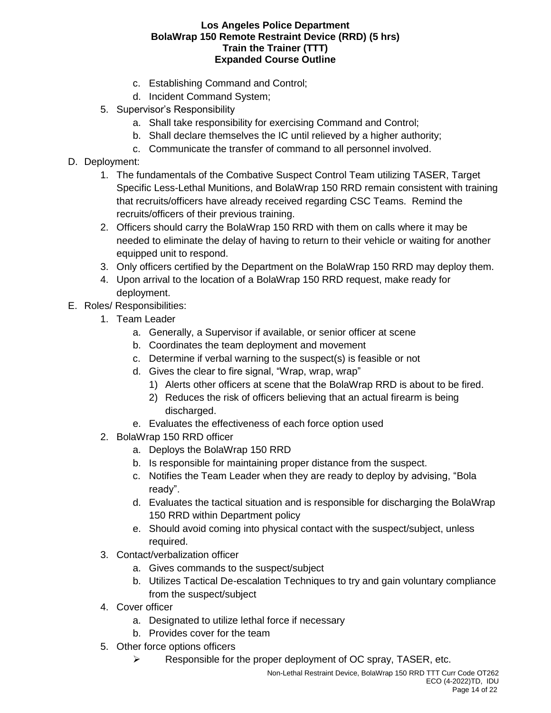- c. Establishing Command and Control;
- d. Incident Command System;
- 5. Supervisor's Responsibility
	- a. Shall take responsibility for exercising Command and Control;
	- b. Shall declare themselves the IC until relieved by a higher authority;
	- c. Communicate the transfer of command to all personnel involved.
- D. Deployment:
	- 1. The fundamentals of the Combative Suspect Control Team utilizing TASER, Target Specific Less-Lethal Munitions, and BolaWrap 150 RRD remain consistent with training that recruits/officers have already received regarding CSC Teams. Remind the recruits/officers of their previous training.
	- 2. Officers should carry the BolaWrap 150 RRD with them on calls where it may be needed to eliminate the delay of having to return to their vehicle or waiting for another equipped unit to respond.
	- 3. Only officers certified by the Department on the BolaWrap 150 RRD may deploy them.
	- 4. Upon arrival to the location of a BolaWrap 150 RRD request, make ready for deployment.
- E. Roles/ Responsibilities:
	- 1. Team Leader
		- a. Generally, a Supervisor if available, or senior officer at scene
		- b. Coordinates the team deployment and movement
		- c. Determine if verbal warning to the suspect(s) is feasible or not
		- d. Gives the clear to fire signal, "Wrap, wrap, wrap"
			- 1) Alerts other officers at scene that the BolaWrap RRD is about to be fired.
			- 2) Reduces the risk of officers believing that an actual firearm is being discharged.
		- e. Evaluates the effectiveness of each force option used
	- 2. BolaWrap 150 RRD officer
		- a. Deploys the BolaWrap 150 RRD
		- b. Is responsible for maintaining proper distance from the suspect.
		- c. Notifies the Team Leader when they are ready to deploy by advising, "Bola ready".
		- d. Evaluates the tactical situation and is responsible for discharging the BolaWrap 150 RRD within Department policy
		- e. Should avoid coming into physical contact with the suspect/subject, unless required.
	- 3. Contact/verbalization officer
		- a. Gives commands to the suspect/subject
		- b. Utilizes Tactical De-escalation Techniques to try and gain voluntary compliance from the suspect/subject
	- 4. Cover officer
		- a. Designated to utilize lethal force if necessary
		- b. Provides cover for the team
	- 5. Other force options officers
		- $\triangleright$  Responsible for the proper deployment of OC spray, TASER, etc.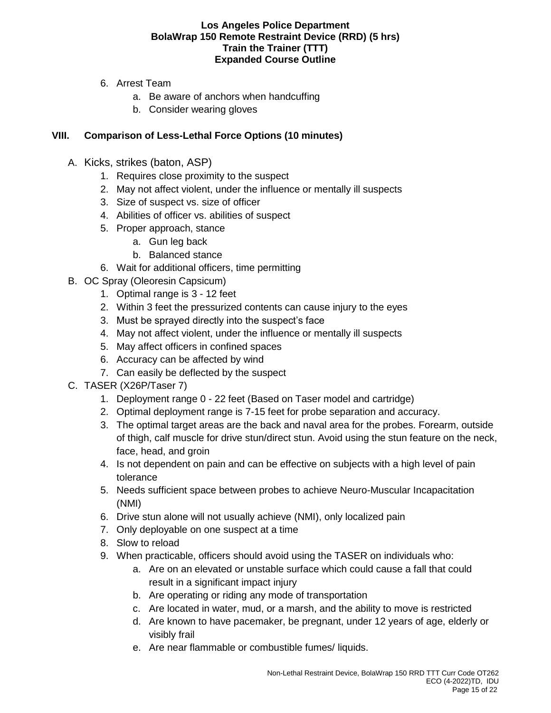- 6. Arrest Team
	- a. Be aware of anchors when handcuffing
	- b. Consider wearing gloves

## **VIII. Comparison of Less-Lethal Force Options (10 minutes)**

- A. Kicks, strikes (baton, ASP)
	- 1. Requires close proximity to the suspect
	- 2. May not affect violent, under the influence or mentally ill suspects
	- 3. Size of suspect vs. size of officer
	- 4. Abilities of officer vs. abilities of suspect
	- 5. Proper approach, stance
		- a. Gun leg back
		- b. Balanced stance
	- 6. Wait for additional officers, time permitting
- B. OC Spray (Oleoresin Capsicum)
	- 1. Optimal range is 3 12 feet
	- 2. Within 3 feet the pressurized contents can cause injury to the eyes
	- 3. Must be sprayed directly into the suspect's face
	- 4. May not affect violent, under the influence or mentally ill suspects
	- 5. May affect officers in confined spaces
	- 6. Accuracy can be affected by wind
	- 7. Can easily be deflected by the suspect
- C. TASER (X26P/Taser 7)
	- 1. Deployment range 0 22 feet (Based on Taser model and cartridge)
	- 2. Optimal deployment range is 7-15 feet for probe separation and accuracy.
	- 3. The optimal target areas are the back and naval area for the probes. Forearm, outside of thigh, calf muscle for drive stun/direct stun. Avoid using the stun feature on the neck, face, head, and groin
	- 4. Is not dependent on pain and can be effective on subjects with a high level of pain tolerance
	- 5. Needs sufficient space between probes to achieve Neuro-Muscular Incapacitation (NMI)
	- 6. Drive stun alone will not usually achieve (NMI), only localized pain
	- 7. Only deployable on one suspect at a time
	- 8. Slow to reload
	- 9. When practicable, officers should avoid using the TASER on individuals who:
		- a. Are on an elevated or unstable surface which could cause a fall that could result in a significant impact injury
		- b. Are operating or riding any mode of transportation
		- c. Are located in water, mud, or a marsh, and the ability to move is restricted
		- d. Are known to have pacemaker, be pregnant, under 12 years of age, elderly or visibly frail
		- e. Are near flammable or combustible fumes/ liquids.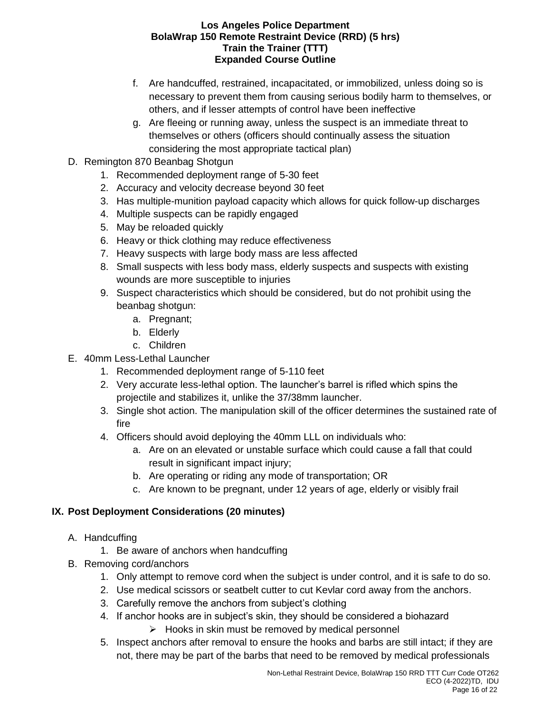- f. Are handcuffed, restrained, incapacitated, or immobilized, unless doing so is necessary to prevent them from causing serious bodily harm to themselves, or others, and if lesser attempts of control have been ineffective
- g. Are fleeing or running away, unless the suspect is an immediate threat to themselves or others (officers should continually assess the situation considering the most appropriate tactical plan)
- D. Remington 870 Beanbag Shotgun
	- 1. Recommended deployment range of 5-30 feet
	- 2. Accuracy and velocity decrease beyond 30 feet
	- 3. Has multiple-munition payload capacity which allows for quick follow-up discharges
	- 4. Multiple suspects can be rapidly engaged
	- 5. May be reloaded quickly
	- 6. Heavy or thick clothing may reduce effectiveness
	- 7. Heavy suspects with large body mass are less affected
	- 8. Small suspects with less body mass, elderly suspects and suspects with existing wounds are more susceptible to injuries
	- 9. Suspect characteristics which should be considered, but do not prohibit using the beanbag shotgun:
		- a. Pregnant;
		- b. Elderly
		- c. Children
- E. 40mm Less-Lethal Launcher
	- 1. Recommended deployment range of 5-110 feet
	- 2. Very accurate less-lethal option. The launcher's barrel is rifled which spins the projectile and stabilizes it, unlike the 37/38mm launcher.
	- 3. Single shot action. The manipulation skill of the officer determines the sustained rate of fire
	- 4. Officers should avoid deploying the 40mm LLL on individuals who:
		- a. Are on an elevated or unstable surface which could cause a fall that could result in significant impact injury;
		- b. Are operating or riding any mode of transportation; OR
		- c. Are known to be pregnant, under 12 years of age, elderly or visibly frail

# **IX. Post Deployment Considerations (20 minutes)**

- A. Handcuffing
	- 1. Be aware of anchors when handcuffing
- B. Removing cord/anchors
	- 1. Only attempt to remove cord when the subject is under control, and it is safe to do so.
	- 2. Use medical scissors or seatbelt cutter to cut Kevlar cord away from the anchors.
	- 3. Carefully remove the anchors from subject's clothing
	- 4. If anchor hooks are in subject's skin, they should be considered a biohazard
		- $\triangleright$  Hooks in skin must be removed by medical personnel
	- 5. Inspect anchors after removal to ensure the hooks and barbs are still intact; if they are not, there may be part of the barbs that need to be removed by medical professionals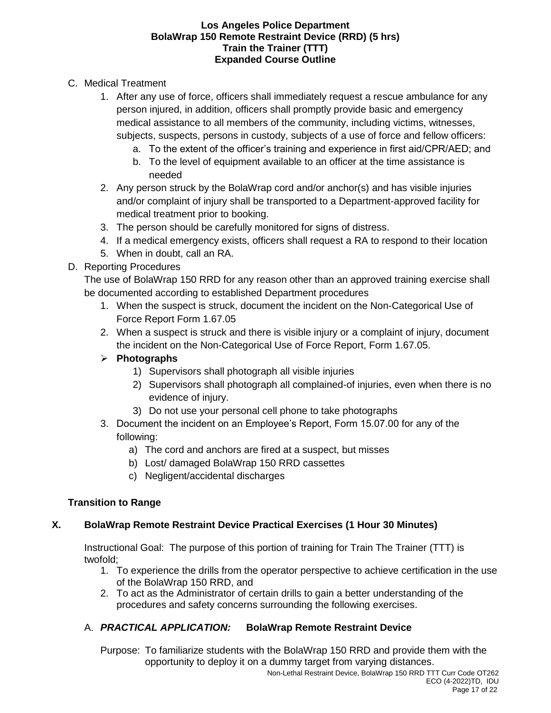- C. Medical Treatment
	- 1. After any use of force, officers shall immediately request a rescue ambulance for any person injured, in addition, officers shall promptly provide basic and emergency medical assistance to all members of the community, including victims, witnesses, subjects, suspects, persons in custody, subjects of a use of force and fellow officers:
		- a. To the extent of the officer's training and experience in first aid/CPR/AED; and
		- b. To the level of equipment available to an officer at the time assistance is needed
	- 2. Any person struck by the BolaWrap cord and/or anchor(s) and has visible injuries and/or complaint of injury shall be transported to a Department-approved facility for medical treatment prior to booking.
	- 3. The person should be carefully monitored for signs of distress.
	- 4. If a medical emergency exists, officers shall request a RA to respond to their location
	- 5. When in doubt, call an RA.

## D. Reporting Procedures

The use of BolaWrap 150 RRD for any reason other than an approved training exercise shall be documented according to established Department procedures

- 1. When the suspect is struck, document the incident on the Non-Categorical Use of Force Report Form 1.67.05
- 2. When a suspect is struck and there is visible injury or a complaint of injury, document the incident on the Non-Categorical Use of Force Report, Form 1.67.05.

# ➢ **Photographs**

- 1) Supervisors shall photograph all visible injuries
- 2) Supervisors shall photograph all complained-of injuries, even when there is no evidence of injury.
- 3) Do not use your personal cell phone to take photographs
- 3. Document the incident on an Employee's Report, Form 15.07.00 for any of the following:
	- a) The cord and anchors are fired at a suspect, but misses
	- b) Lost/ damaged BolaWrap 150 RRD cassettes
	- c) Negligent/accidental discharges

# **Transition to Range**

# **X. BolaWrap Remote Restraint Device Practical Exercises (1 Hour 30 Minutes)**

Instructional Goal: The purpose of this portion of training for Train The Trainer (TTT) is twofold;

- 1. To experience the drills from the operator perspective to achieve certification in the use of the BolaWrap 150 RRD, and
- 2. To act as the Administrator of certain drills to gain a better understanding of the procedures and safety concerns surrounding the following exercises.

# A. *PRACTICAL APPLICATION:* **BolaWrap Remote Restraint Device**

Purpose: To familiarize students with the BolaWrap 150 RRD and provide them with the opportunity to deploy it on a dummy target from varying distances.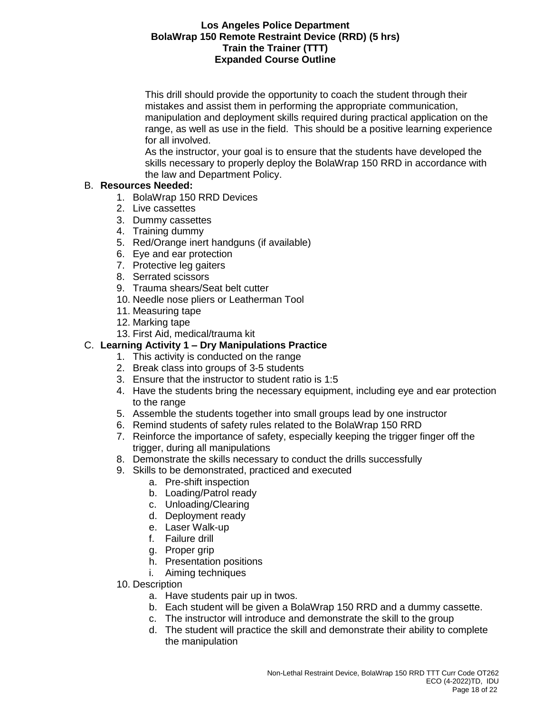This drill should provide the opportunity to coach the student through their mistakes and assist them in performing the appropriate communication, manipulation and deployment skills required during practical application on the range, as well as use in the field. This should be a positive learning experience for all involved.

As the instructor, your goal is to ensure that the students have developed the skills necessary to properly deploy the BolaWrap 150 RRD in accordance with the law and Department Policy.

## B. **Resources Needed:**

- 1. BolaWrap 150 RRD Devices
- 2. Live cassettes
- 3. Dummy cassettes
- 4. Training dummy
- 5. Red/Orange inert handguns (if available)
- 6. Eye and ear protection
- 7. Protective leg gaiters
- 8. Serrated scissors
- 9. Trauma shears/Seat belt cutter
- 10. Needle nose pliers or Leatherman Tool
- 11. Measuring tape
- 12. Marking tape
- 13. First Aid, medical/trauma kit

## C. **Learning Activity 1 – Dry Manipulations Practice**

- 1. This activity is conducted on the range
- 2. Break class into groups of 3-5 students
- 3. Ensure that the instructor to student ratio is 1:5
- 4. Have the students bring the necessary equipment, including eye and ear protection to the range
- 5. Assemble the students together into small groups lead by one instructor
- 6. Remind students of safety rules related to the BolaWrap 150 RRD
- 7. Reinforce the importance of safety, especially keeping the trigger finger off the trigger, during all manipulations
- 8. Demonstrate the skills necessary to conduct the drills successfully
- 9. Skills to be demonstrated, practiced and executed
	- a. Pre-shift inspection
	- b. Loading/Patrol ready
	- c. Unloading/Clearing
	- d. Deployment ready
	- e. Laser Walk-up
	- f. Failure drill
	- g. Proper grip
	- h. Presentation positions
	- i. Aiming techniques
- 10. Description
	- a. Have students pair up in twos.
	- b. Each student will be given a BolaWrap 150 RRD and a dummy cassette.
	- c. The instructor will introduce and demonstrate the skill to the group
	- d. The student will practice the skill and demonstrate their ability to complete the manipulation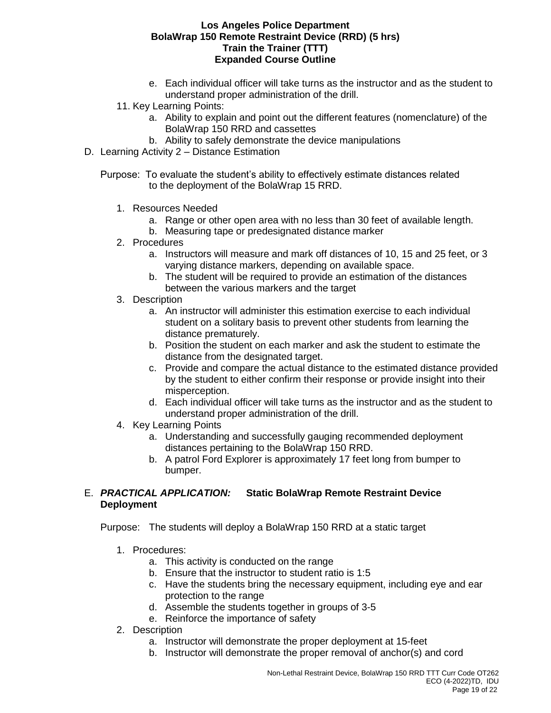- e. Each individual officer will take turns as the instructor and as the student to understand proper administration of the drill.
- 11. Key Learning Points:
	- a. Ability to explain and point out the different features (nomenclature) of the BolaWrap 150 RRD and cassettes
	- b. Ability to safely demonstrate the device manipulations
- D. Learning Activity 2 Distance Estimation
	- Purpose: To evaluate the student's ability to effectively estimate distances related to the deployment of the BolaWrap 15 RRD.
		- 1. Resources Needed
			- a. Range or other open area with no less than 30 feet of available length.
			- b. Measuring tape or predesignated distance marker
		- 2. Procedures
			- a. Instructors will measure and mark off distances of 10, 15 and 25 feet, or 3 varying distance markers, depending on available space.
			- b. The student will be required to provide an estimation of the distances between the various markers and the target
		- 3. Description
			- a. An instructor will administer this estimation exercise to each individual student on a solitary basis to prevent other students from learning the distance prematurely.
			- b. Position the student on each marker and ask the student to estimate the distance from the designated target.
			- c. Provide and compare the actual distance to the estimated distance provided by the student to either confirm their response or provide insight into their misperception.
			- d. Each individual officer will take turns as the instructor and as the student to understand proper administration of the drill.
		- 4. Key Learning Points
			- a. Understanding and successfully gauging recommended deployment distances pertaining to the BolaWrap 150 RRD.
			- b. A patrol Ford Explorer is approximately 17 feet long from bumper to bumper.

### E. *PRACTICAL APPLICATION:* **Static BolaWrap Remote Restraint Device Deployment**

Purpose: The students will deploy a BolaWrap 150 RRD at a static target

- 1. Procedures:
	- a. This activity is conducted on the range
	- b. Ensure that the instructor to student ratio is 1:5
	- c. Have the students bring the necessary equipment, including eye and ear protection to the range
	- d. Assemble the students together in groups of 3-5
	- e. Reinforce the importance of safety
- 2. Description
	- a. Instructor will demonstrate the proper deployment at 15-feet
	- b. Instructor will demonstrate the proper removal of anchor(s) and cord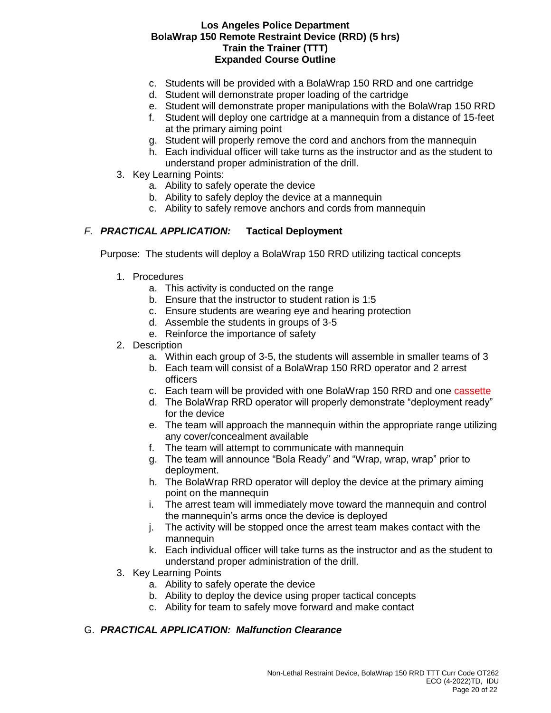- c. Students will be provided with a BolaWrap 150 RRD and one cartridge
- d. Student will demonstrate proper loading of the cartridge
- e. Student will demonstrate proper manipulations with the BolaWrap 150 RRD
- f. Student will deploy one cartridge at a mannequin from a distance of 15-feet at the primary aiming point
- g. Student will properly remove the cord and anchors from the mannequin
- h. Each individual officer will take turns as the instructor and as the student to understand proper administration of the drill.
- 3. Key Learning Points:
	- a. Ability to safely operate the device
	- b. Ability to safely deploy the device at a mannequin
	- c. Ability to safely remove anchors and cords from mannequin

### *F. PRACTICAL APPLICATION:* **Tactical Deployment**

Purpose: The students will deploy a BolaWrap 150 RRD utilizing tactical concepts

- 1. Procedures
	- a. This activity is conducted on the range
	- b. Ensure that the instructor to student ration is 1:5
	- c. Ensure students are wearing eye and hearing protection
	- d. Assemble the students in groups of 3-5
	- e. Reinforce the importance of safety
- 2. Description
	- a. Within each group of 3-5, the students will assemble in smaller teams of 3
	- b. Each team will consist of a BolaWrap 150 RRD operator and 2 arrest officers
	- c. Each team will be provided with one BolaWrap 150 RRD and one cassette
	- d. The BolaWrap RRD operator will properly demonstrate "deployment ready" for the device
	- e. The team will approach the mannequin within the appropriate range utilizing any cover/concealment available
	- f. The team will attempt to communicate with mannequin
	- g. The team will announce "Bola Ready" and "Wrap, wrap, wrap" prior to deployment.
	- h. The BolaWrap RRD operator will deploy the device at the primary aiming point on the mannequin
	- i. The arrest team will immediately move toward the mannequin and control the mannequin's arms once the device is deployed
	- j. The activity will be stopped once the arrest team makes contact with the mannequin
	- k. Each individual officer will take turns as the instructor and as the student to understand proper administration of the drill.
- 3. Key Learning Points
	- a. Ability to safely operate the device
	- b. Ability to deploy the device using proper tactical concepts
	- c. Ability for team to safely move forward and make contact

## G. *PRACTICAL APPLICATION: Malfunction Clearance*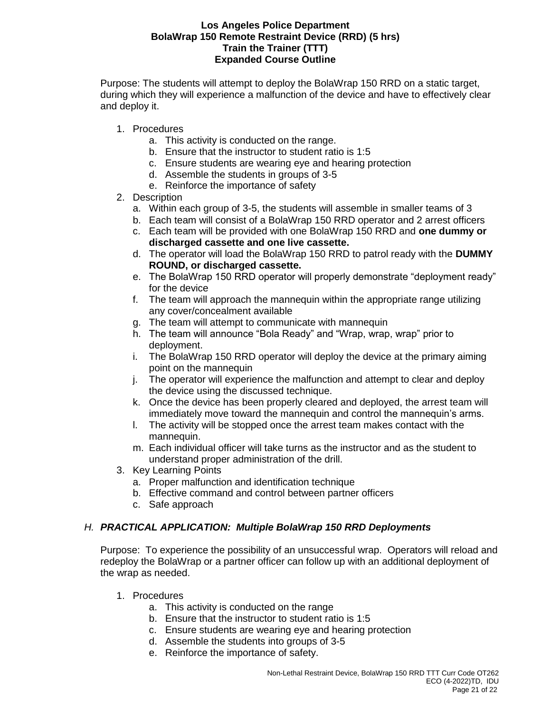Purpose: The students will attempt to deploy the BolaWrap 150 RRD on a static target, during which they will experience a malfunction of the device and have to effectively clear and deploy it.

- 1. Procedures
	- a. This activity is conducted on the range.
	- b. Ensure that the instructor to student ratio is 1:5
	- c. Ensure students are wearing eye and hearing protection
	- d. Assemble the students in groups of 3-5
	- e. Reinforce the importance of safety
- 2. Description
	- a. Within each group of 3-5, the students will assemble in smaller teams of 3
	- b. Each team will consist of a BolaWrap 150 RRD operator and 2 arrest officers
	- c. Each team will be provided with one BolaWrap 150 RRD and **one dummy or discharged cassette and one live cassette.**
	- d. The operator will load the BolaWrap 150 RRD to patrol ready with the **DUMMY ROUND, or discharged cassette.**
	- e. The BolaWrap 150 RRD operator will properly demonstrate "deployment ready" for the device
	- f. The team will approach the mannequin within the appropriate range utilizing any cover/concealment available
	- g. The team will attempt to communicate with mannequin
	- h. The team will announce "Bola Ready" and "Wrap, wrap, wrap" prior to deployment.
	- i. The BolaWrap 150 RRD operator will deploy the device at the primary aiming point on the mannequin
	- j. The operator will experience the malfunction and attempt to clear and deploy the device using the discussed technique.
	- k. Once the device has been properly cleared and deployed, the arrest team will immediately move toward the mannequin and control the mannequin's arms.
	- l. The activity will be stopped once the arrest team makes contact with the mannequin.
	- m. Each individual officer will take turns as the instructor and as the student to understand proper administration of the drill.
- 3. Key Learning Points
	- a. Proper malfunction and identification technique
	- b. Effective command and control between partner officers
	- c. Safe approach

### *H. PRACTICAL APPLICATION: Multiple BolaWrap 150 RRD Deployments*

Purpose: To experience the possibility of an unsuccessful wrap. Operators will reload and redeploy the BolaWrap or a partner officer can follow up with an additional deployment of the wrap as needed.

- 1. Procedures
	- a. This activity is conducted on the range
	- b. Ensure that the instructor to student ratio is 1:5
	- c. Ensure students are wearing eye and hearing protection
	- d. Assemble the students into groups of 3-5
	- e. Reinforce the importance of safety.